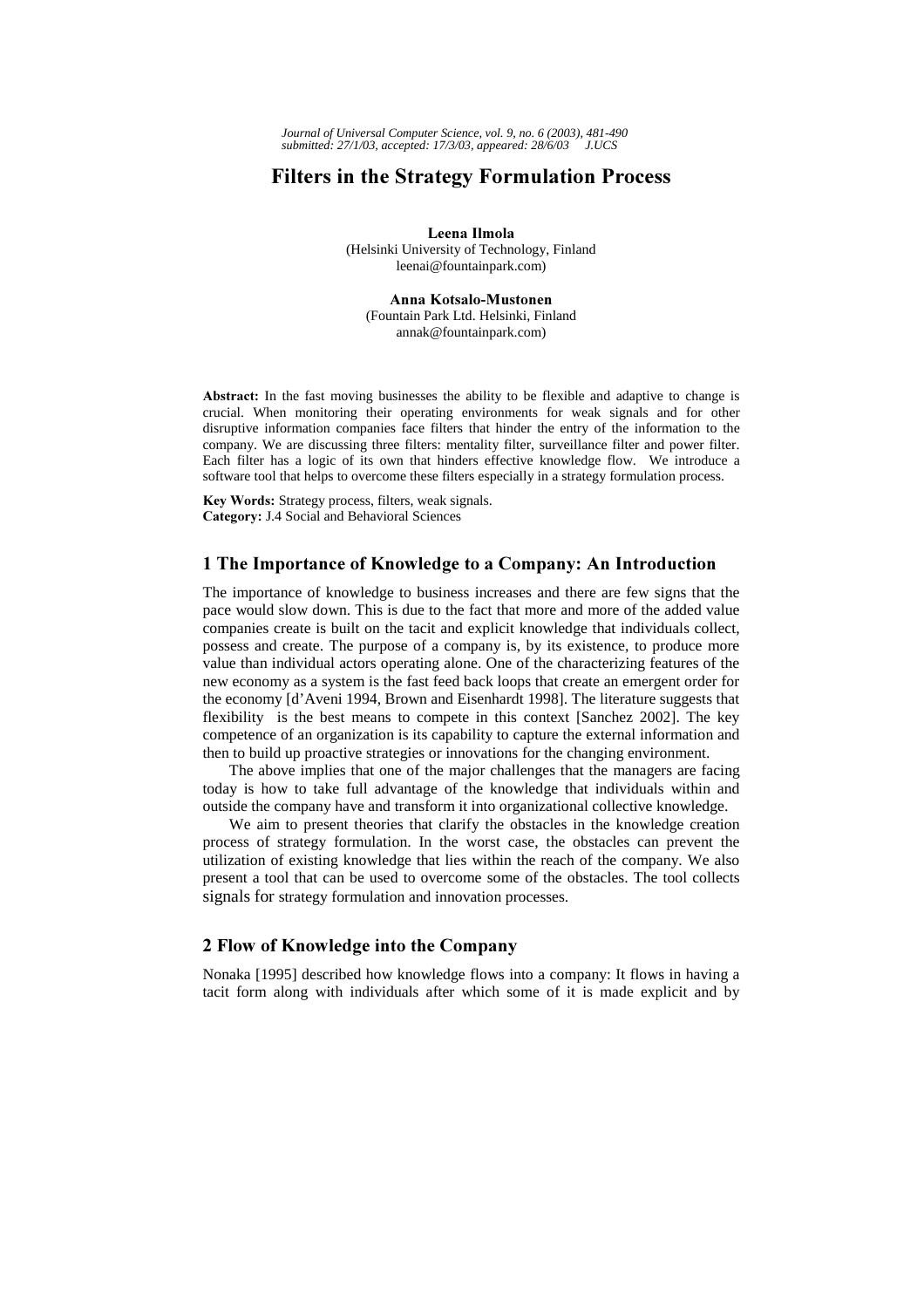# **Filters in the Strategy Formulation Process**

Leena Ilmola (Helsinki University of Technology, Finland leenai@fountainpark.com)

Anna Kotsalo-Mustonen (Fountain Park Ltd. Helsinki, Finland annak@fountainpark.com)

Abstract: In the fast moving businesses the ability to be flexible and adaptive to change is crucial. When monitoring their operating environments for weak signals and for other disruptive information companies face filters that hinder the entry of the information to the company. We are discussing three filters: mentality filter, surveillance filter and power filter. Each filter has a logic of its own that hinders effective knowledge flow. We introduce a software tool that helps to overcome these filters especially in a strategy formulation process.

Key Words: Strategy process, filters, weak signals. Category: J.4 Social and Behavioral Sciences

## 1 The Importance of Knowledge to a Company: An Introduction

The importance of knowledge to business increases and there are few signs that the pace would slow down. This is due to the fact that more and more of the added value companies create is built on the tacit and explicit knowledge that individuals collect, possess and create. The purpose of a company is, by its existence, to produce more value than individual actors operating alone. One of the characterizing features of the new economy as a system is the fast feed back loops that create an emergent order for the economy [d'Aveni 1994, Brown and Eisenhardt 1998]. The literature suggests that flexibility is the best means to compete in this context [Sanchez 2002]. The key competence of an organization is its capability to capture the external information and then to build up proactive strategies or innovations for the changing environment.

The above implies that one of the major challenges that the managers are facing today is how to take full advantage of the knowledge that individuals within and outside the company have and transform it into organizational collective knowledge.

We aim to present theories that clarify the obstacles in the knowledge creation process of strategy formulation. In the worst case, the obstacles can prevent the utilization of existing knowledge that lies within the reach of the company. We also present a tool that can be used to overcome some of the obstacles. The tool collects signals for strategy formulation and innovation processes.

## 2 Flow of Knowledge into the Company

Nonaka [1995] described how knowledge flows into a company: It flows in having a tacit form along with individuals after which some of it is made explicit and by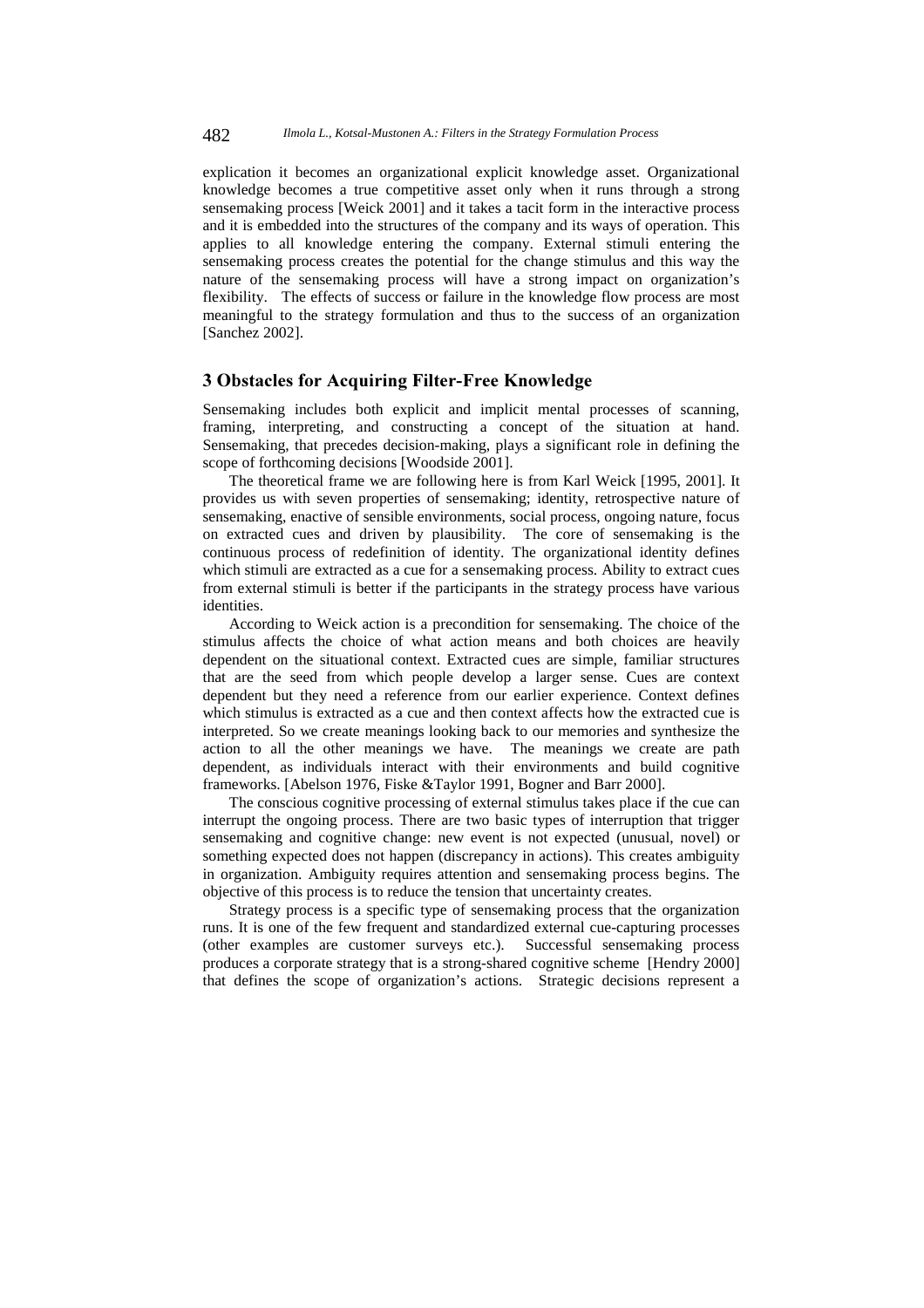explication it becomes an organizational explicit knowledge asset. Organizational knowledge becomes a true competitive asset only when it runs through a strong sensemaking process [Weick 2001] and it takes a tacit form in the interactive process and it is embedded into the structures of the company and its ways of operation. This applies to all knowledge entering the company. External stimuli entering the sensemaking process creates the potential for the change stimulus and this way the nature of the sensemaking process will have a strong impact on organization's flexibility. The effects of success or failure in the knowledge flow process are most meaningful to the strategy formulation and thus to the success of an organization [Sanchez 2002].

## 3 Obstacles for Acquiring Filter-Free Knowledge

Sensemaking includes both explicit and implicit mental processes of scanning, framing, interpreting, and constructing a concept of the situation at hand. Sensemaking, that precedes decision-making, plays a significant role in defining the scope of forthcoming decisions [Woodside 2001].

The theoretical frame we are following here is from Karl Weick [1995, 2001]. It provides us with seven properties of sensemaking; identity, retrospective nature of sensemaking, enactive of sensible environments, social process, ongoing nature, focus on extracted cues and driven by plausibility. The core of sensemaking is the continuous process of redefinition of identity. The organizational identity defines which stimuli are extracted as a cue for a sensemaking process. Ability to extract cues from external stimuli is better if the participants in the strategy process have various identities.

According to Weick action is a precondition for sensemaking. The choice of the stimulus affects the choice of what action means and both choices are heavily dependent on the situational context. Extracted cues are simple, familiar structures that are the seed from which people develop a larger sense. Cues are context dependent but they need a reference from our earlier experience. Context defines which stimulus is extracted as a cue and then context affects how the extracted cue is interpreted. So we create meanings looking back to our memories and synthesize the action to all the other meanings we have. The meanings we create are path dependent, as individuals interact with their environments and build cognitive frameworks. [Abelson 1976, Fiske &Taylor 1991, Bogner and Barr 2000].

The conscious cognitive processing of external stimulus takes place if the cue can interrupt the ongoing process. There are two basic types of interruption that trigger sensemaking and cognitive change: new event is not expected (unusual, novel) or something expected does not happen (discrepancy in actions). This creates ambiguity in organization. Ambiguity requires attention and sensemaking process begins. The objective of this process is to reduce the tension that uncertainty creates.

Strategy process is a specific type of sensemaking process that the organization runs. It is one of the few frequent and standardized external cue-capturing processes (other examples are customer surveys etc.). Successful sensemaking process produces a corporate strategy that is a strong-shared cognitive scheme [Hendry 2000] that defines the scope of organization's actions. Strategic decisions represent a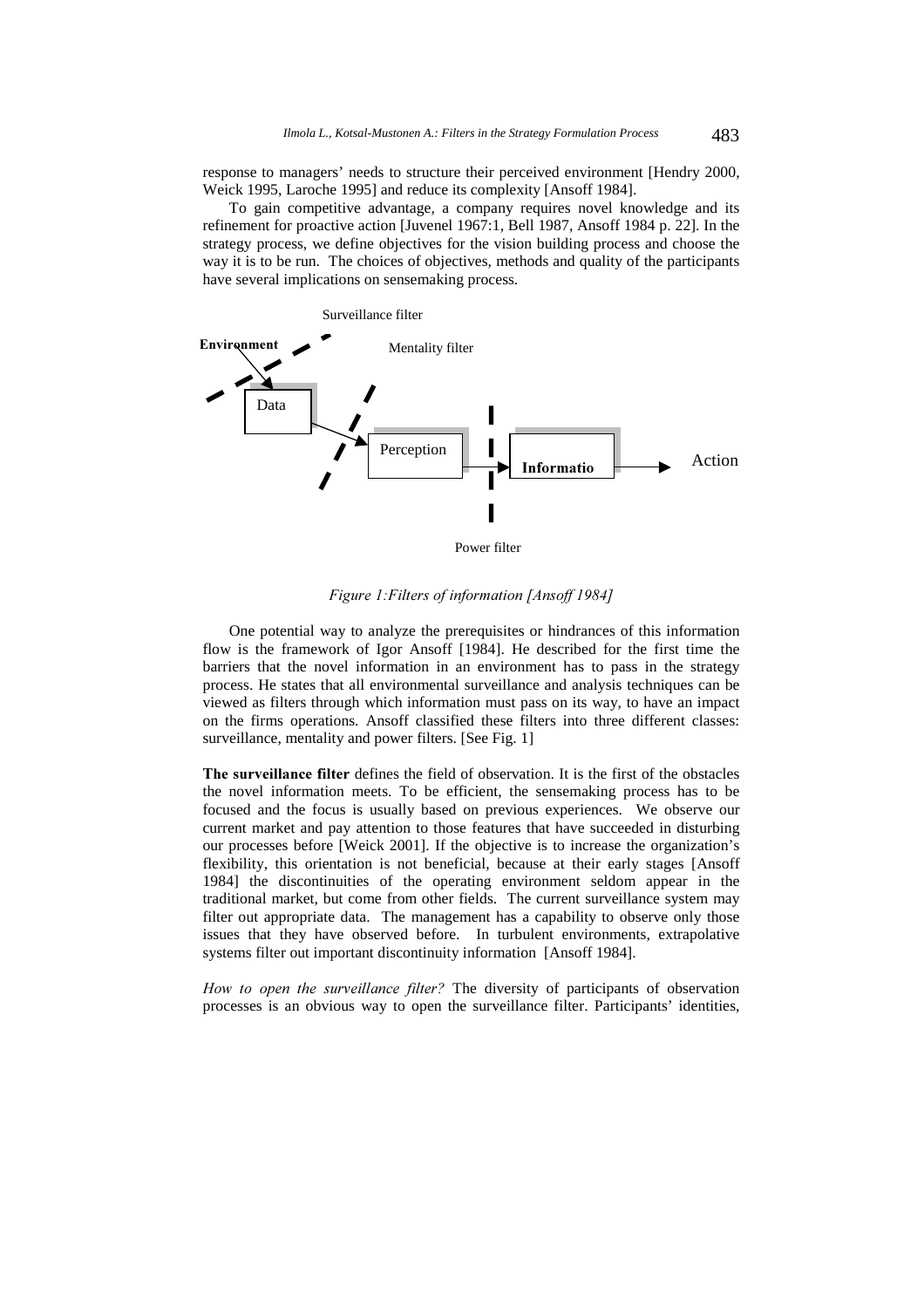response to managers' needs to structure their perceived environment [Hendry 2000, Weick 1995, Laroche 1995] and reduce its complexity [Ansoff 1984].

To gain competitive advantage, a company requires novel knowledge and its refinement for proactive action [Juvenel 1967:1, Bell 1987, Ansoff 1984 p. 22]. In the strategy process, we define objectives for the vision building process and choose the way it is to be run. The choices of objectives, methods and quality of the participants have several implications on sensemaking process.



Power filter

Figure 1: Filters of information [Ansoff 1984]

One potential way to analyze the prerequisites or hindrances of this information flow is the framework of Igor Ansoff [1984]. He described for the first time the barriers that the novel information in an environment has to pass in the strategy process. He states that all environmental surveillance and analysis techniques can be viewed as filters through which information must pass on its way, to have an impact on the firms operations. Ansoff classified these filters into three different classes: surveillance, mentality and power filters. [See Fig. 1]

The surveillance filter defines the field of observation. It is the first of the obstacles the novel information meets. To be efficient, the sensemaking process has to be focused and the focus is usually based on previous experiences. We observe our current market and pay attention to those features that have succeeded in disturbing our processes before [Weick 2001]. If the objective is to increase the organization's flexibility, this orientation is not beneficial, because at their early stages [Ansoff 1984] the discontinuities of the operating environment seldom appear in the traditional market, but come from other fields. The current surveillance system may filter out appropriate data. The management has a capability to observe only those issues that they have observed before. In turbulent environments, extrapolative systems filter out important discontinuity information [Ansoff 1984].

How to open the surveillance filter? The diversity of participants of observation processes is an obvious way to open the surveillance filter. Participants' identities,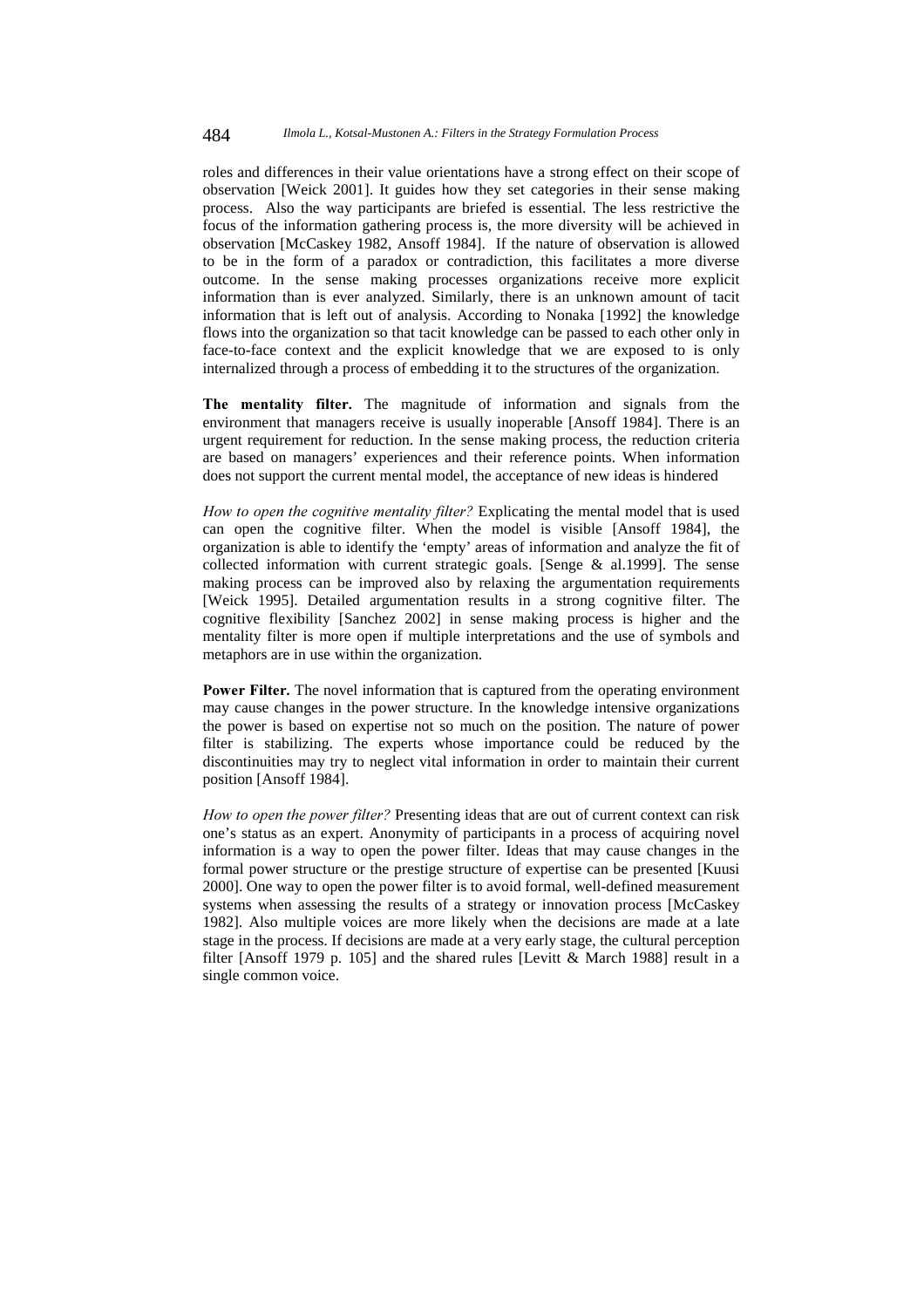roles and differences in their value orientations have a strong effect on their scope of observation [Weick 2001]. It guides how they set categories in their sense making process. Also the way participants are briefed is essential. The less restrictive the focus of the information gathering process is, the more diversity will be achieved in observation [McCaskey 1982, Ansoff 1984]. If the nature of observation is allowed to be in the form of a paradox or contradiction, this facilitates a more diverse outcome. In the sense making processes organizations receive more explicit information than is ever analyzed. Similarly, there is an unknown amount of tacit information that is left out of analysis. According to Nonaka [1992] the knowledge flows into the organization so that tacit knowledge can be passed to each other only in face-to-face context and the explicit knowledge that we are exposed to is only internalized through a process of embedding it to the structures of the organization.

The mentality filter. The magnitude of information and signals from the environment that managers receive is usually inoperable [Ansoff 1984]. There is an urgent requirement for reduction. In the sense making process, the reduction criteria are based on managers' experiences and their reference points. When information does not support the current mental model, the acceptance of new ideas is hindered

How to open the cognitive mentality filter? Explicating the mental model that is used can open the cognitive filter. When the model is visible [Ansoff 1984], the organization is able to identify the 'empty' areas of information and analyze the fit of collected information with current strategic goals. [Senge & al.1999]. The sense making process can be improved also by relaxing the argumentation requirements [Weick 1995]. Detailed argumentation results in a strong cognitive filter. The cognitive flexibility [Sanchez 2002] in sense making process is higher and the mentality filter is more open if multiple interpretations and the use of symbols and metaphors are in use within the organization.

Power Filter. The novel information that is captured from the operating environment may cause changes in the power structure. In the knowledge intensive organizations the power is based on expertise not so much on the position. The nature of power filter is stabilizing. The experts whose importance could be reduced by the discontinuities may try to neglect vital information in order to maintain their current position [Ansoff 1984].

How to open the power filter? Presenting ideas that are out of current context can risk one's status as an expert. Anonymity of participants in a process of acquiring novel information is a way to open the power filter. Ideas that may cause changes in the formal power structure or the prestige structure of expertise can be presented [Kuusi 2000]. One way to open the power filter is to avoid formal, well-defined measurement systems when assessing the results of a strategy or innovation process [McCaskey 1982]. Also multiple voices are more likely when the decisions are made at a late stage in the process. If decisions are made at a very early stage, the cultural perception filter [Ansoff 1979 p. 105] and the shared rules [Levitt & March 1988] result in a single common voice.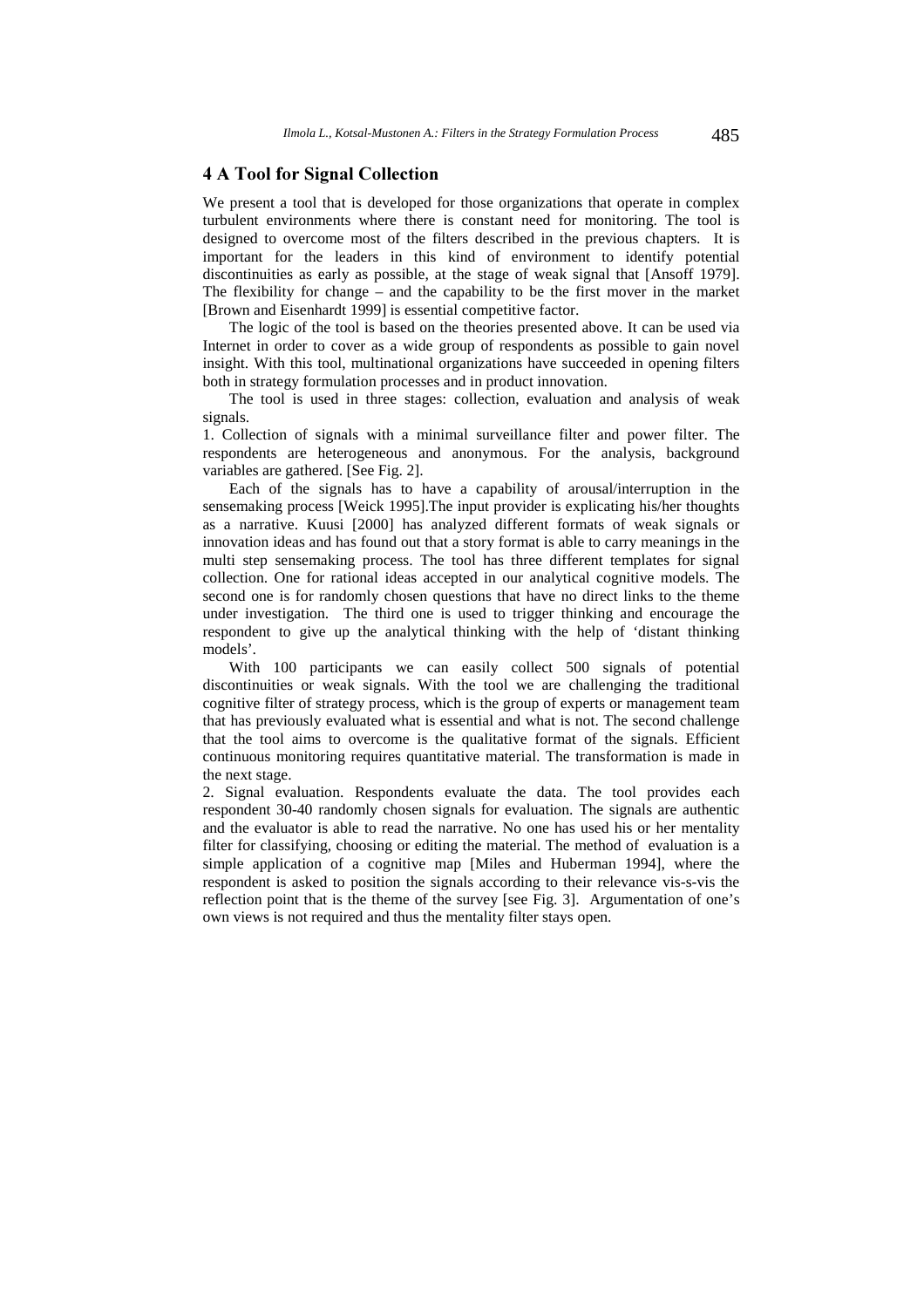## 4 A Tool for Signal Collection

We present a tool that is developed for those organizations that operate in complex turbulent environments where there is constant need for monitoring. The tool is designed to overcome most of the filters described in the previous chapters. It is important for the leaders in this kind of environment to identify potential discontinuities as early as possible, at the stage of weak signal that [Ansoff 1979]. The flexibility for change – and the capability to be the first mover in the market [Brown and Eisenhardt 1999] is essential competitive factor.

The logic of the tool is based on the theories presented above. It can be used via Internet in order to cover as a wide group of respondents as possible to gain novel insight. With this tool, multinational organizations have succeeded in opening filters both in strategy formulation processes and in product innovation.

The tool is used in three stages: collection, evaluation and analysis of weak signals.

1. Collection of signals with a minimal surveillance filter and power filter. The respondents are heterogeneous and anonymous. For the analysis, background variables are gathered. [See Fig. 2].

Each of the signals has to have a capability of arousal/interruption in the sensemaking process [Weick 1995].The input provider is explicating his/her thoughts as a narrative. Kuusi [2000] has analyzed different formats of weak signals or innovation ideas and has found out that a story format is able to carry meanings in the multi step sensemaking process. The tool has three different templates for signal collection. One for rational ideas accepted in our analytical cognitive models. The second one is for randomly chosen questions that have no direct links to the theme under investigation. The third one is used to trigger thinking and encourage the respondent to give up the analytical thinking with the help of 'distant thinking models'.

With 100 participants we can easily collect 500 signals of potential discontinuities or weak signals. With the tool we are challenging the traditional cognitive filter of strategy process, which is the group of experts or management team that has previously evaluated what is essential and what is not. The second challenge that the tool aims to overcome is the qualitative format of the signals. Efficient continuous monitoring requires quantitative material. The transformation is made in the next stage.

2. Signal evaluation. Respondents evaluate the data. The tool provides each respondent 30-40 randomly chosen signals for evaluation. The signals are authentic and the evaluator is able to read the narrative. No one has used his or her mentality filter for classifying, choosing or editing the material. The method of evaluation is a simple application of a cognitive map [Miles and Huberman 1994], where the respondent is asked to position the signals according to their relevance vis-s-vis the reflection point that is the theme of the survey [see Fig. 3]. Argumentation of one's own views is not required and thus the mentality filter stays open.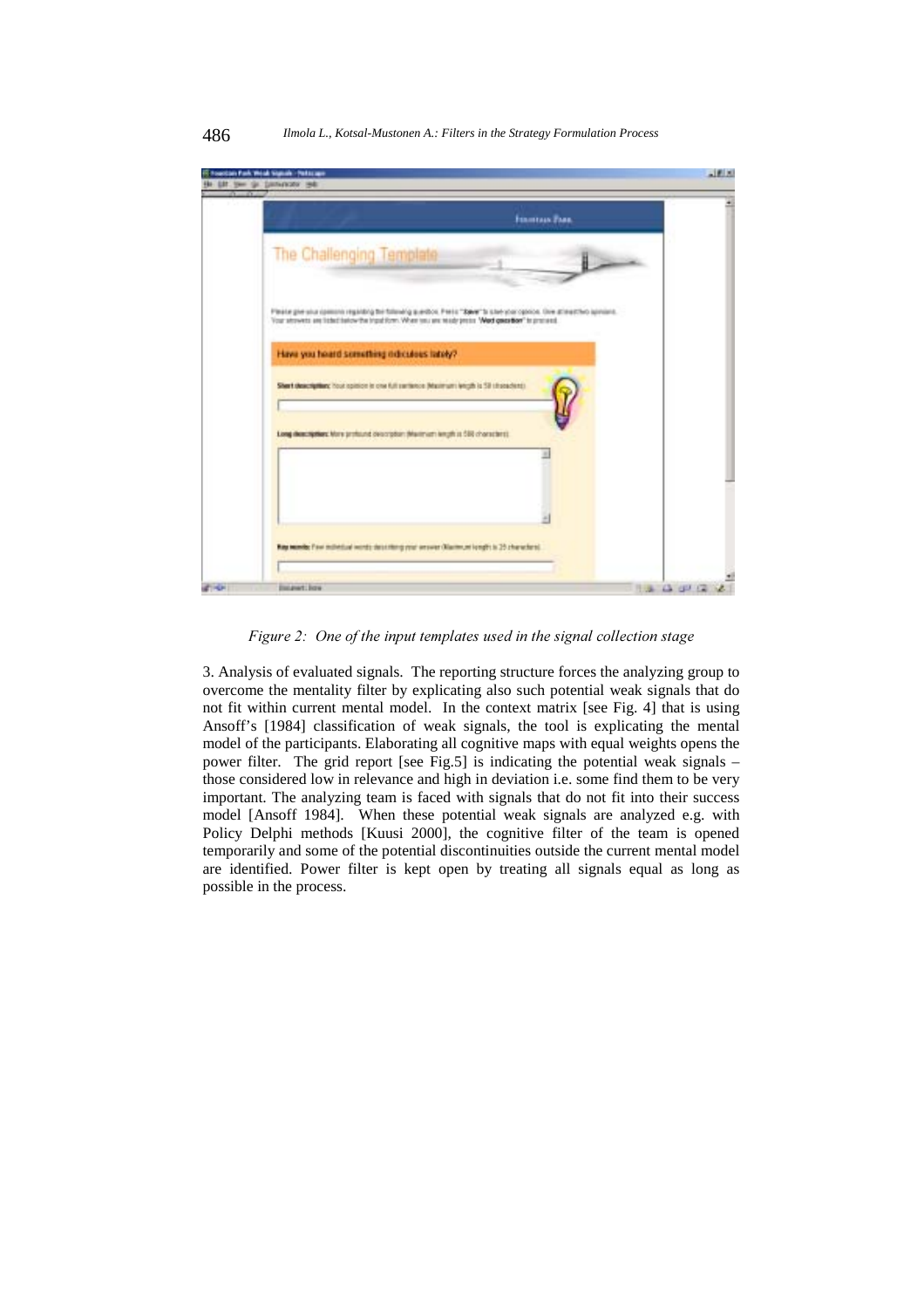

#### 486 *Ilmola L., Kotsal-Mustonen A.: Filters in the Strategy Formulation Process*

Figure 2: One of the input templates used in the signal collection stage

3. Analysis of evaluated signals. The reporting structure forces the analyzing group to overcome the mentality filter by explicating also such potential weak signals that do not fit within current mental model. In the context matrix [see Fig. 4] that is using Ansoff's [1984] classification of weak signals, the tool is explicating the mental model of the participants. Elaborating all cognitive maps with equal weights opens the power filter. The grid report [see Fig.5] is indicating the potential weak signals – those considered low in relevance and high in deviation i.e. some find them to be very important. The analyzing team is faced with signals that do not fit into their success model [Ansoff 1984]. When these potential weak signals are analyzed e.g. with Policy Delphi methods [Kuusi 2000], the cognitive filter of the team is opened temporarily and some of the potential discontinuities outside the current mental model are identified. Power filter is kept open by treating all signals equal as long as possible in the process.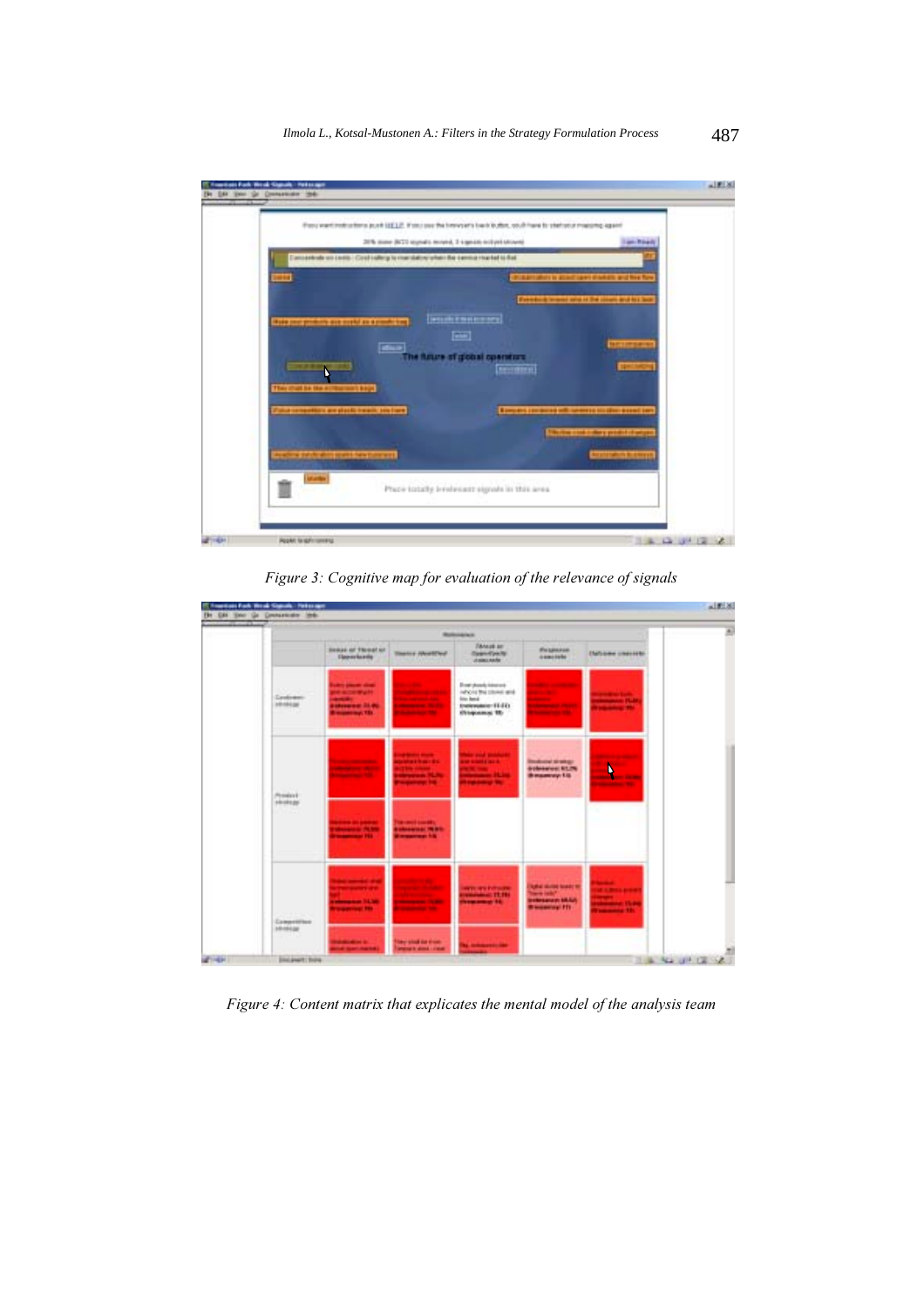

Figure 3: Cognitive map for evaluation of the relevance of signals



Figure 4: Content matrix that explicates the mental model of the analysis team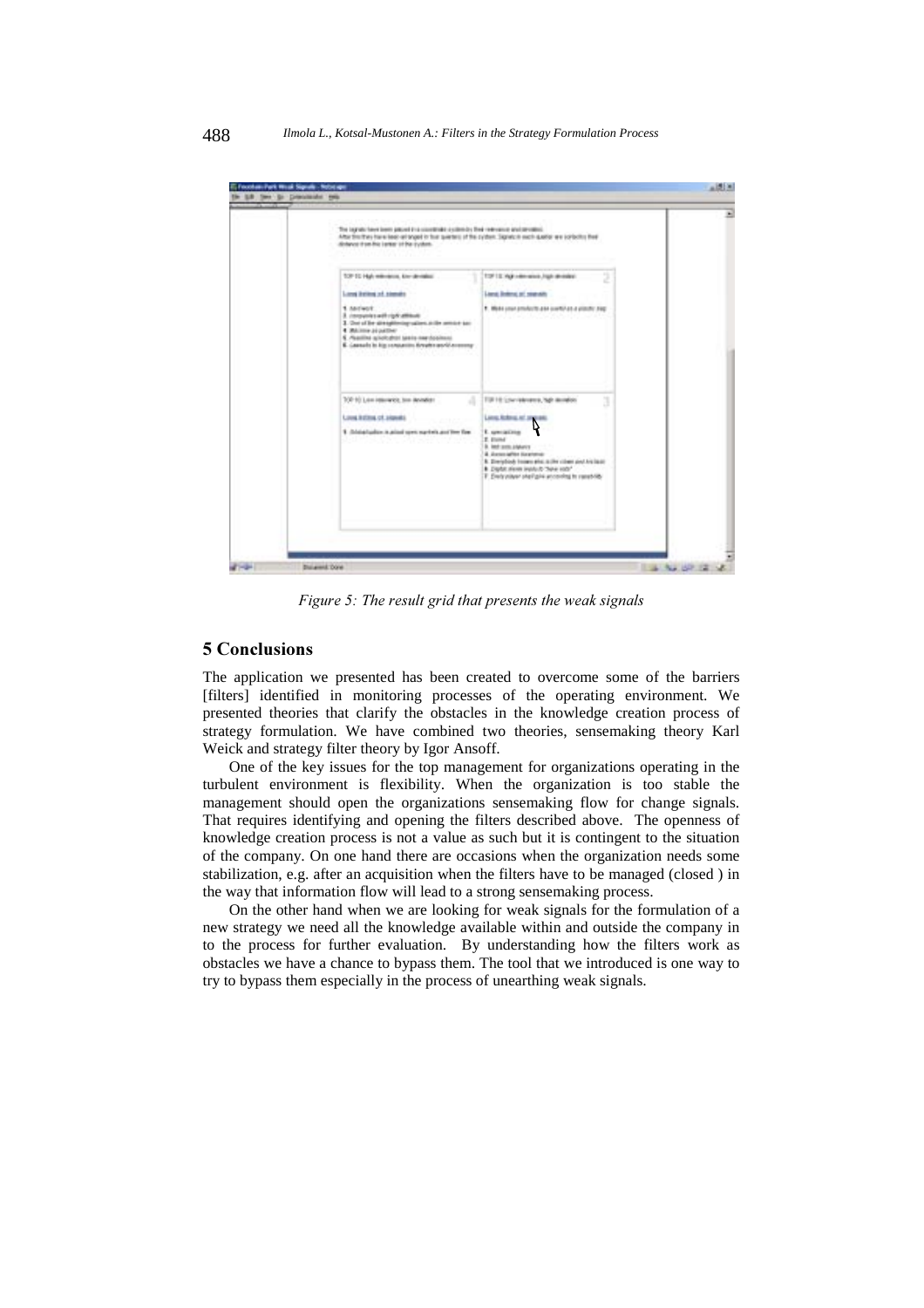| The Legrado Tweet been possed in a copyright a science is the relevance and concession<br>After this they have been an ongel to this question of the cycles. Signes is each quality we sorted to their                                       |                                                                                                                                                                                                               |
|----------------------------------------------------------------------------------------------------------------------------------------------------------------------------------------------------------------------------------------------|---------------------------------------------------------------------------------------------------------------------------------------------------------------------------------------------------------------|
| detance trusted large of the cycles.                                                                                                                                                                                                         |                                                                                                                                                                                                               |
|                                                                                                                                                                                                                                              |                                                                                                                                                                                                               |
| TOP ED High milestons, knowledgetters                                                                                                                                                                                                        | TOF 12 HgR = den wisch , high all-index).                                                                                                                                                                     |
| Local Delive of Alenda                                                                                                                                                                                                                       | Lient Beling at reason.                                                                                                                                                                                       |
| 1 Antwork<br>3. Instructors with right attitude<br>3. One of the strengthening saliers at the service par-<br>4 Millione Journey<br>5. Pleasiline apiech shot televisional and continues.<br>E. Leasals in his consenior Arealm and American | 1. Middle color provisions also continues a plastic dag.                                                                                                                                                      |
| TOP 10 Low insurance, too develop-<br>a<br>Louis Address of Joseph's<br>1 Addutuber is also special and fee for                                                                                                                              | TOF HE Low-Vehicles is, high decided<br>Lens Address of January<br><b>E.</b> gentlation<br>E. Etting<br>B. Intrasts papers<br>& June after licentena<br>8. Dieriglisch beinen eine zuller nihmt gest kreitent |
|                                                                                                                                                                                                                                              | . Diplot alleves legisly to "New yorls."<br>F. Electroliver shall give announced to reset tilts                                                                                                               |

Figure 5: The result grid that presents the weak signals

## 5 Conclusions

The application we presented has been created to overcome some of the barriers [filters] identified in monitoring processes of the operating environment. We presented theories that clarify the obstacles in the knowledge creation process of strategy formulation. We have combined two theories, sensemaking theory Karl Weick and strategy filter theory by Igor Ansoff.

One of the key issues for the top management for organizations operating in the turbulent environment is flexibility. When the organization is too stable the management should open the organizations sensemaking flow for change signals. That requires identifying and opening the filters described above. The openness of knowledge creation process is not a value as such but it is contingent to the situation of the company. On one hand there are occasions when the organization needs some stabilization, e.g. after an acquisition when the filters have to be managed (closed ) in the way that information flow will lead to a strong sensemaking process.

On the other hand when we are looking for weak signals for the formulation of a new strategy we need all the knowledge available within and outside the company in to the process for further evaluation. By understanding how the filters work as obstacles we have a chance to bypass them. The tool that we introduced is one way to try to bypass them especially in the process of unearthing weak signals.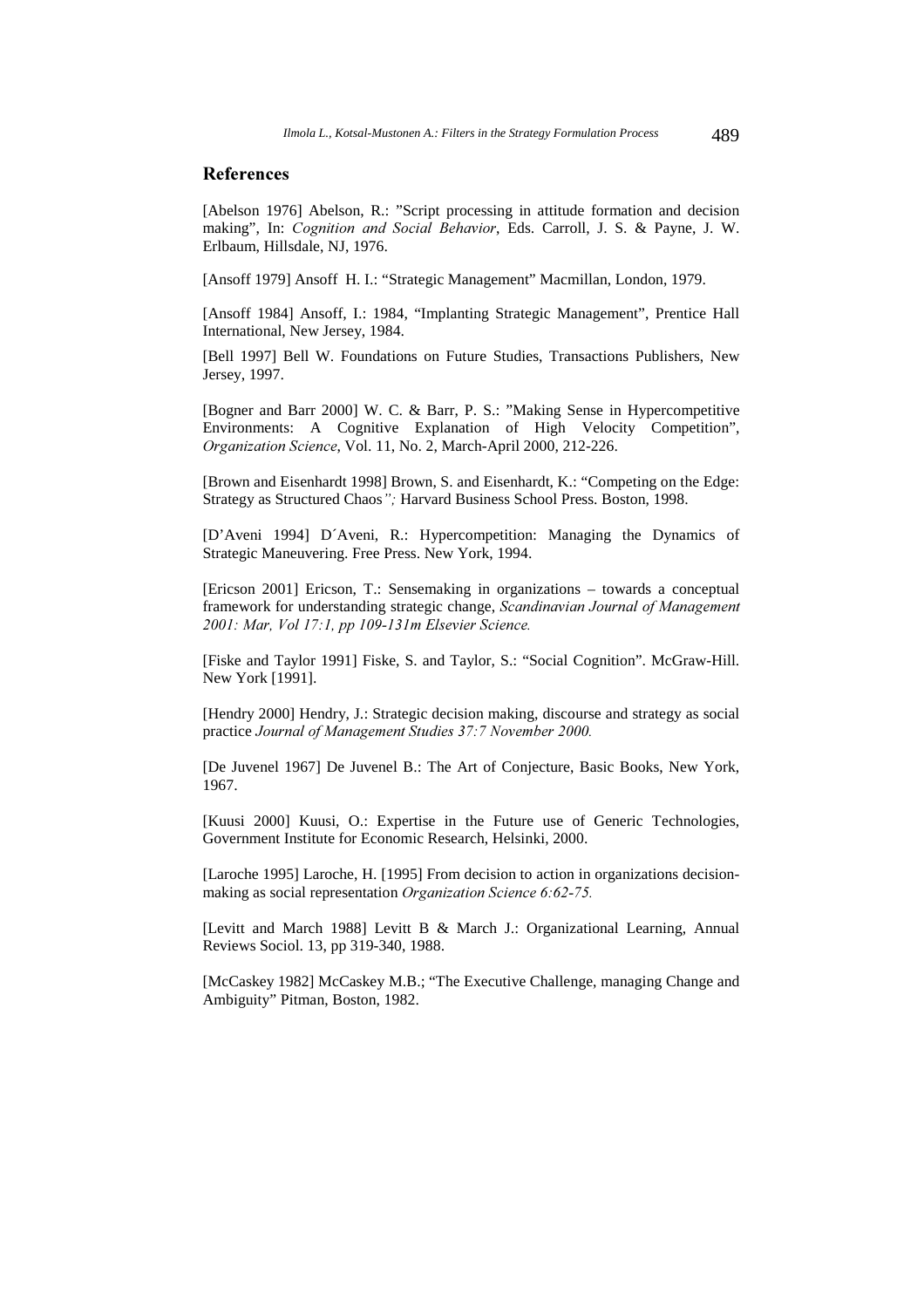#### **References**

[Abelson 1976] Abelson, R.: "Script processing in attitude formation and decision making", In: Cognition and Social Behavior, Eds. Carroll, J. S. & Payne, J. W. Erlbaum, Hillsdale, NJ, 1976.

[Ansoff 1979] Ansoff H. I.: "Strategic Management" Macmillan, London, 1979.

[Ansoff 1984] Ansoff, I.: 1984, "Implanting Strategic Management", Prentice Hall International, New Jersey, 1984.

[Bell 1997] Bell W. Foundations on Future Studies, Transactions Publishers, New Jersey, 1997.

[Bogner and Barr 2000] W. C. & Barr, P. S.: "Making Sense in Hypercompetitive Environments: A Cognitive Explanation of High Velocity Competition", Organization Science, Vol. 11, No. 2, March-April 2000, 212-226.

[Brown and Eisenhardt 1998] Brown, S. and Eisenhardt, K.: "Competing on the Edge: Strategy as Structured Chaos"; Harvard Business School Press. Boston, 1998.

[D'Aveni 1994] D´Aveni, R.: Hypercompetition: Managing the Dynamics of Strategic Maneuvering. Free Press. New York, 1994.

[Ericson 2001] Ericson, T.: Sensemaking in organizations – towards a conceptual framework for understanding strategic change, Scandinavian Journal of Management 2001: Mar, Vol 17:1, pp 109-131m Elsevier Science.

[Fiske and Taylor 1991] Fiske, S. and Taylor, S.: "Social Cognition". McGraw-Hill. New York [1991].

[Hendry 2000] Hendry, J.: Strategic decision making, discourse and strategy as social practice Journal of Management Studies 37:7 November 2000.

[De Juvenel 1967] De Juvenel B.: The Art of Conjecture, Basic Books, New York, 1967.

[Kuusi 2000] Kuusi, O.: Expertise in the Future use of Generic Technologies, Government Institute for Economic Research, Helsinki, 2000.

[Laroche 1995] Laroche, H. [1995] From decision to action in organizations decisionmaking as social representation *Organization Science 6:62-75*.

[Levitt and March 1988] Levitt B & March J.: Organizational Learning, Annual Reviews Sociol. 13, pp 319-340, 1988.

[McCaskey 1982] McCaskey M.B.; "The Executive Challenge, managing Change and Ambiguity" Pitman, Boston, 1982.